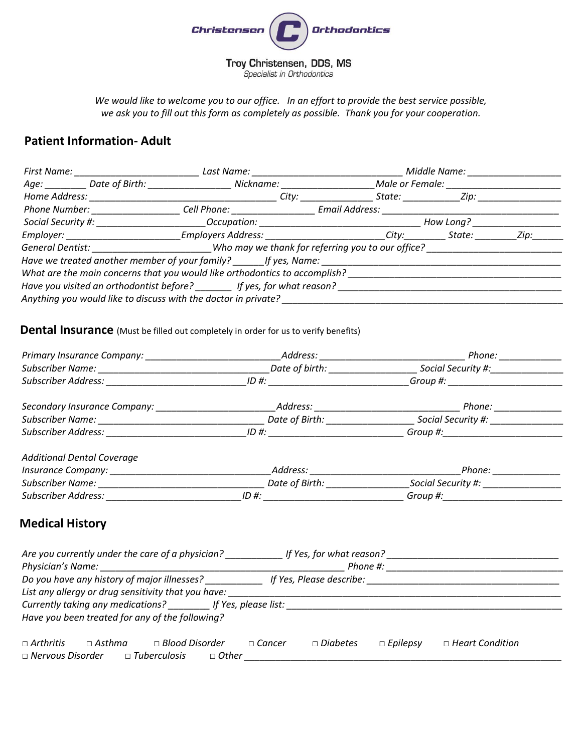

*We would like to welcome you to our office. In an effort to provide the best service possible, we ask you to fill out this form as completely as possible. Thank you for your cooperation.*

## **Patient Information- Adult**

|                                                                            | First Name: ______________________                                                                                                                                                                                                  |                                                                                                                                                                                                                                |                                                                                                                                                                                                                                |                             |                 | Middle Name: |      |
|----------------------------------------------------------------------------|-------------------------------------------------------------------------------------------------------------------------------------------------------------------------------------------------------------------------------------|--------------------------------------------------------------------------------------------------------------------------------------------------------------------------------------------------------------------------------|--------------------------------------------------------------------------------------------------------------------------------------------------------------------------------------------------------------------------------|-----------------------------|-----------------|--------------|------|
|                                                                            |                                                                                                                                                                                                                                     | Age: Date of Birth: Nickname:                                                                                                                                                                                                  |                                                                                                                                                                                                                                |                             | Male or Female: |              |      |
| Home Address:                                                              |                                                                                                                                                                                                                                     |                                                                                                                                                                                                                                | City: the contract of the contract of the contract of the contract of the contract of the contract of the contract of the contract of the contract of the contract of the contract of the contract of the contract of the cont |                             |                 |              |      |
|                                                                            | <b>Phone Number:</b> Name of the Manuson of the Manuson of the Manuson of the Manuson of the Manuson of the Manuson of the Manuson of the Manuson of the Manuson of the Manuson of the Manuson of the Manuson of the Manuson of the | Cell Phone: _________________                                                                                                                                                                                                  |                                                                                                                                                                                                                                | Email Address: <b>Email</b> |                 |              |      |
|                                                                            |                                                                                                                                                                                                                                     | Social Security #: Social Security #: Social Security #: Social Security #: Social Security #: Social Security #: Social Security #: Social Security #: Social Security #: Social Security #: Social Security #: Social Securi |                                                                                                                                                                                                                                |                             |                 | How Long?    |      |
|                                                                            |                                                                                                                                                                                                                                     | _Employers Address: _________________________City:____________State: __________                                                                                                                                                |                                                                                                                                                                                                                                |                             |                 |              | Zip: |
| General Dentist: Who may we thank for referring you to our office?         |                                                                                                                                                                                                                                     |                                                                                                                                                                                                                                |                                                                                                                                                                                                                                |                             |                 |              |      |
|                                                                            |                                                                                                                                                                                                                                     |                                                                                                                                                                                                                                |                                                                                                                                                                                                                                |                             |                 |              |      |
| What are the main concerns that you would like orthodontics to accomplish? |                                                                                                                                                                                                                                     |                                                                                                                                                                                                                                |                                                                                                                                                                                                                                |                             |                 |              |      |
| Have you visited an orthodontist before? _______ If yes, for what reason?  |                                                                                                                                                                                                                                     |                                                                                                                                                                                                                                |                                                                                                                                                                                                                                |                             |                 |              |      |
| Anything you would like to discuss with the doctor in private?             |                                                                                                                                                                                                                                     |                                                                                                                                                                                                                                |                                                                                                                                                                                                                                |                             |                 |              |      |

## **Dental Insurance** (Must be filled out completely in order for us to verify benefits)

|                                                                                                                                                                                                                                | Address: Analysis and the set of the set of the set of the set of the set of the set of the set of the set of the set of the set of the set of the set of the set of the set of the set of the set of the set of the set of th | Phone: <b>All Phone</b>            |  |
|--------------------------------------------------------------------------------------------------------------------------------------------------------------------------------------------------------------------------------|--------------------------------------------------------------------------------------------------------------------------------------------------------------------------------------------------------------------------------|------------------------------------|--|
|                                                                                                                                                                                                                                | Date of birth: _________________                                                                                                                                                                                               | Social Security #:______________   |  |
| Subscriber Address: National Address:                                                                                                                                                                                          | $ID \#:$                                                                                                                                                                                                                       | Group #: _________________________ |  |
| Secondary Insurance Company: ___________________                                                                                                                                                                               |                                                                                                                                                                                                                                | Phone: ___________                 |  |
|                                                                                                                                                                                                                                | Date of Birth: _______________                                                                                                                                                                                                 | Social Security #: _______________ |  |
| Subscriber Address: The Contract of the Contract of the Contract of the Contract of the Contract of the Contract of the Contract of the Contract of the Contract of the Contract of the Contract of the Contract of the Contra | $ID \#$ :                                                                                                                                                                                                                      |                                    |  |
| <b>Additional Dental Coverage</b>                                                                                                                                                                                              |                                                                                                                                                                                                                                |                                    |  |
| Insurance Company: 1999 March 1999 March 1999 March 1999 March 1999 March 1999 March 1999 March 1999 March 199                                                                                                                 |                                                                                                                                                                                                                                | Phone: ____________                |  |
| Subscriber Name: _______________________                                                                                                                                                                                       | Date of Birth:                                                                                                                                                                                                                 | Social Security #: _______________ |  |
| <b>Subscriber Address:</b>                                                                                                                                                                                                     | $ID \#$                                                                                                                                                                                                                        | Group #:                           |  |

## **Medical History**

| Are you currently under the care of a physician?                 | If Yes, for what reason?                                                        |  |  |  |  |  |  |  |
|------------------------------------------------------------------|---------------------------------------------------------------------------------|--|--|--|--|--|--|--|
| Physician's Name:                                                | Phone #:                                                                        |  |  |  |  |  |  |  |
| Do you have any history of major illnesses?                      | If Yes, Please describe:                                                        |  |  |  |  |  |  |  |
| List any allergy or drug sensitivity that you have:              |                                                                                 |  |  |  |  |  |  |  |
| Currently taking any medications? If Yes, please list:           |                                                                                 |  |  |  |  |  |  |  |
| Have you been treated for any of the following?                  |                                                                                 |  |  |  |  |  |  |  |
| $\sqcap$ Arthritis<br>$\Box$ Blood Disorder<br>$\Box$ Asthma     | $\Box$ Diabetes<br>$\Box$ Heart Condition<br>$\Box$ Epilepsy<br>$\sqcap$ Cancer |  |  |  |  |  |  |  |
| $\Box$ Nervous Disorder<br>$\Box$ Tuberculosis<br>$\sqcap$ Other |                                                                                 |  |  |  |  |  |  |  |